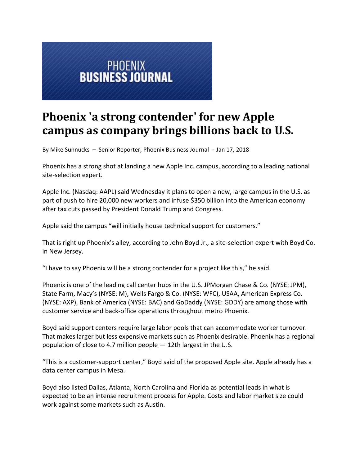

## **Phoenix 'a strong contender' for new Apple campus as company brings billions back to U.S.**

By Mike Sunnucks – Senior Reporter, Phoenix Business Journal - Jan 17, 2018

Phoenix has a strong shot at landing a new Apple Inc. campus, according to a leading national site‐selection expert.

Apple Inc. (Nasdaq: AAPL) said Wednesday it plans to open a new, large campus in the U.S. as part of push to hire 20,000 new workers and infuse \$350 billion into the American economy after tax cuts passed by President Donald Trump and Congress.

Apple said the campus "will initially house technical support for customers."

That is right up Phoenix's alley, according to John Boyd Jr., a site‐selection expert with Boyd Co. in New Jersey.

"I have to say Phoenix will be a strong contender for a project like this," he said.

Phoenix is one of the leading call center hubs in the U.S. JPMorgan Chase & Co. (NYSE: JPM), State Farm, Macy's (NYSE: M), Wells Fargo & Co. (NYSE: WFC), USAA, American Express Co. (NYSE: AXP), Bank of America (NYSE: BAC) and GoDaddy (NYSE: GDDY) are among those with customer service and back‐office operations throughout metro Phoenix.

Boyd said support centers require large labor pools that can accommodate worker turnover. That makes larger but less expensive markets such as Phoenix desirable. Phoenix has a regional population of close to 4.7 million people — 12th largest in the U.S.

"This is a customer‐support center," Boyd said of the proposed Apple site. Apple already has a data center campus in Mesa.

Boyd also listed Dallas, Atlanta, North Carolina and Florida as potential leads in what is expected to be an intense recruitment process for Apple. Costs and labor market size could work against some markets such as Austin.